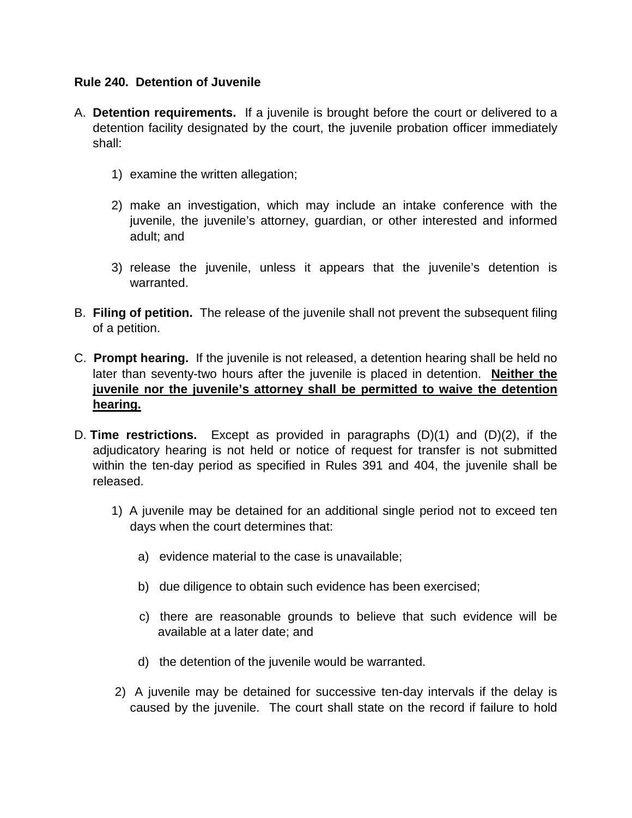#### **Rule 240. Detention of Juvenile**

- A. **Detention requirements.** If a juvenile is brought before the court or delivered to a detention facility designated by the court, the juvenile probation officer immediately shall:
	- 1) examine the written allegation;
	- 2) make an investigation, which may include an intake conference with the juvenile, the juvenile's attorney, guardian, or other interested and informed adult; and
	- 3) release the juvenile, unless it appears that the juvenile's detention is warranted.
- B. **Filing of petition.** The release of the juvenile shall not prevent the subsequent filing of a petition.
- C. **Prompt hearing.** If the juvenile is not released, a detention hearing shall be held no later than seventy-two hours after the juvenile is placed in detention. **Neither the juvenile nor the juvenile's attorney shall be permitted to waive the detention hearing.**
- D. **Time restrictions.** Except as provided in paragraphs (D)(1) and (D)(2), if the adjudicatory hearing is not held or notice of request for transfer is not submitted within the ten-day period as specified in Rules 391 and 404, the juvenile shall be released.
	- 1) A juvenile may be detained for an additional single period not to exceed ten days when the court determines that:
		- a) evidence material to the case is unavailable;
		- b) due diligence to obtain such evidence has been exercised;
		- c) there are reasonable grounds to believe that such evidence will be available at a later date; and
		- d) the detention of the juvenile would be warranted.
	- 2) A juvenile may be detained for successive ten-day intervals if the delay is caused by the juvenile. The court shall state on the record if failure to hold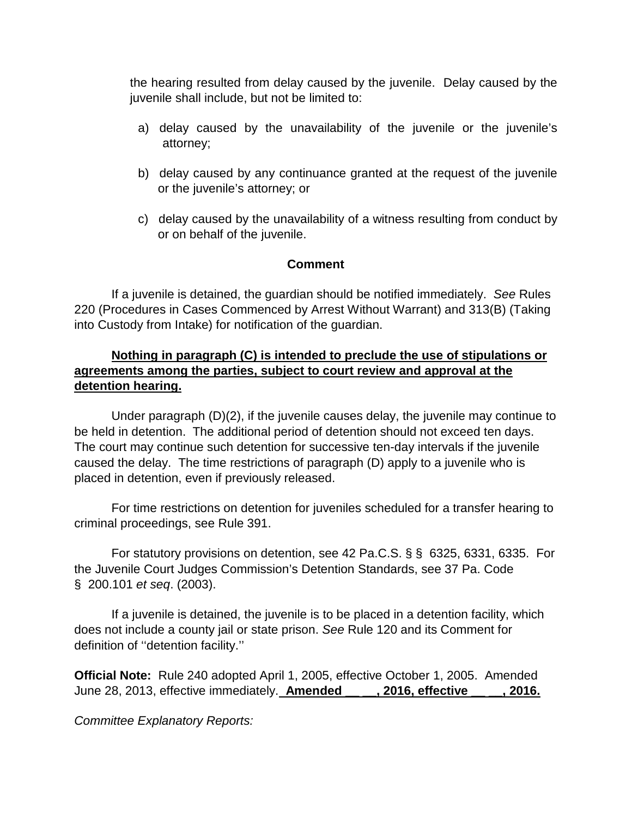the hearing resulted from delay caused by the juvenile. Delay caused by the juvenile shall include, but not be limited to:

- a) delay caused by the unavailability of the juvenile or the juvenile's attorney;
- b) delay caused by any continuance granted at the request of the juvenile or the juvenile's attorney; or
- c) delay caused by the unavailability of a witness resulting from conduct by or on behalf of the juvenile.

# **Comment**

If a juvenile is detained, the guardian should be notified immediately. *See* Rules 220 (Procedures in Cases Commenced by Arrest Without Warrant) and 313(B) (Taking into Custody from Intake) for notification of the guardian.

# **Nothing in paragraph (C) is intended to preclude the use of stipulations or agreements among the parties, subject to court review and approval at the detention hearing.**

Under paragraph (D)(2), if the juvenile causes delay, the juvenile may continue to be held in detention. The additional period of detention should not exceed ten days. The court may continue such detention for successive ten-day intervals if the juvenile caused the delay. The time restrictions of paragraph (D) apply to a juvenile who is placed in detention, even if previously released.

For time restrictions on detention for juveniles scheduled for a transfer hearing to criminal proceedings, see Rule 391.

 For statutory provisions on detention, see 42 Pa.C.S. § § 6325, 6331, 6335. For the Juvenile Court Judges Commission's Detention Standards, see 37 Pa. Code § 200.101 *et seq*. (2003).

 If a juvenile is detained, the juvenile is to be placed in a detention facility, which does not include a county jail or state prison. *See* Rule 120 and its Comment for definition of ''detention facility.''

**Official Note:** Rule 240 adopted April 1, 2005, effective October 1, 2005. Amended June 28, 2013, effective immediately. **Amended \_\_ \_\_, 2016, effective \_\_ \_\_, 2016.**

*Committee Explanatory Reports:*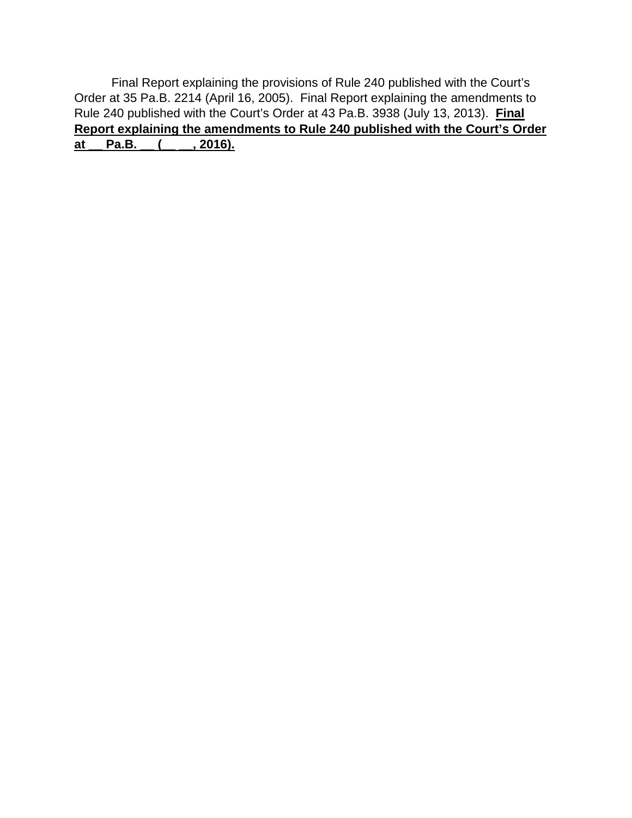Final Report explaining the provisions of Rule 240 published with the Court's Order at 35 Pa.B. 2214 (April 16, 2005). Final Report explaining the amendments to Rule 240 published with the Court's Order at 43 Pa.B. 3938 (July 13, 2013). **Final Report explaining the amendments to Rule 240 published with the Court's Order at \_\_ Pa.B. \_\_ (\_\_ \_\_, 2016).**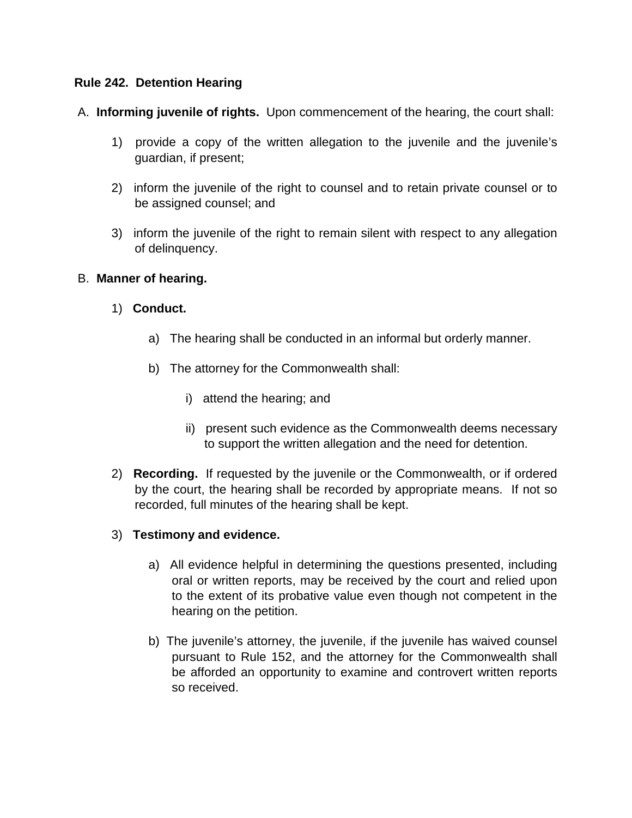### **Rule 242. Detention Hearing**

A. **Informing juvenile of rights.** Upon commencement of the hearing, the court shall:

- 1) provide a copy of the written allegation to the juvenile and the juvenile's guardian, if present;
- 2) inform the juvenile of the right to counsel and to retain private counsel or to be assigned counsel; and
- 3) inform the juvenile of the right to remain silent with respect to any allegation of delinquency.

### B. **Manner of hearing.**

- 1) **Conduct.**
	- a) The hearing shall be conducted in an informal but orderly manner.
	- b) The attorney for the Commonwealth shall:
		- i) attend the hearing; and
		- ii) present such evidence as the Commonwealth deems necessary to support the written allegation and the need for detention.
- 2) **Recording.** If requested by the juvenile or the Commonwealth, or if ordered by the court, the hearing shall be recorded by appropriate means. If not so recorded, full minutes of the hearing shall be kept.

# 3) **Testimony and evidence.**

- a) All evidence helpful in determining the questions presented, including oral or written reports, may be received by the court and relied upon to the extent of its probative value even though not competent in the hearing on the petition.
- b) The juvenile's attorney, the juvenile, if the juvenile has waived counsel pursuant to Rule 152, and the attorney for the Commonwealth shall be afforded an opportunity to examine and controvert written reports so received.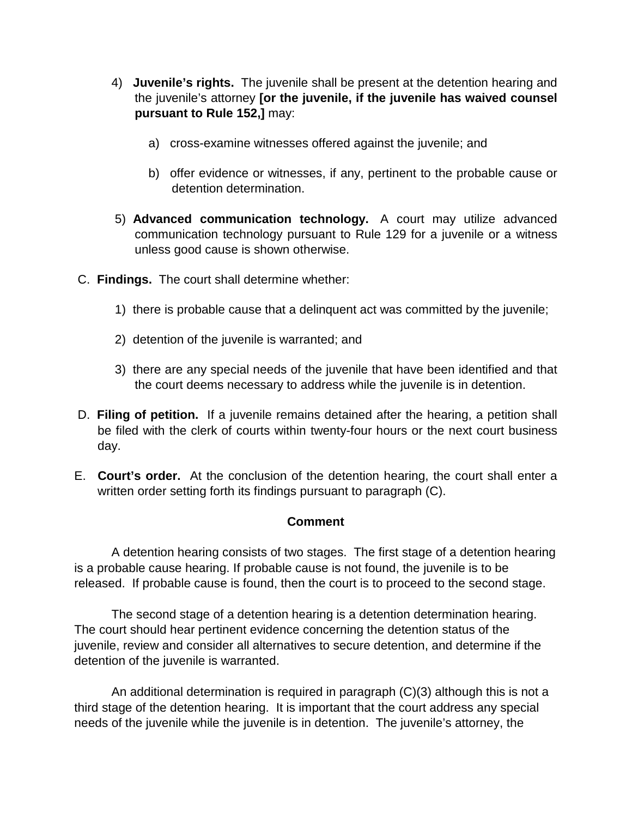- 4) **Juvenile's rights.** The juvenile shall be present at the detention hearing and the juvenile's attorney **[or the juvenile, if the juvenile has waived counsel pursuant to Rule 152,]** may:
	- a) cross-examine witnesses offered against the juvenile; and
	- b) offer evidence or witnesses, if any, pertinent to the probable cause or detention determination.
- 5) **Advanced communication technology.** A court may utilize advanced communication technology pursuant to Rule 129 for a juvenile or a witness unless good cause is shown otherwise.
- C. **Findings.** The court shall determine whether:
	- 1) there is probable cause that a delinquent act was committed by the juvenile;
	- 2) detention of the juvenile is warranted; and
	- 3) there are any special needs of the juvenile that have been identified and that the court deems necessary to address while the juvenile is in detention.
- D. **Filing of petition.** If a juvenile remains detained after the hearing, a petition shall be filed with the clerk of courts within twenty-four hours or the next court business day.
- E. **Court's order.** At the conclusion of the detention hearing, the court shall enter a written order setting forth its findings pursuant to paragraph (C).

#### **Comment**

 A detention hearing consists of two stages. The first stage of a detention hearing is a probable cause hearing. If probable cause is not found, the juvenile is to be released. If probable cause is found, then the court is to proceed to the second stage.

The second stage of a detention hearing is a detention determination hearing. The court should hear pertinent evidence concerning the detention status of the juvenile, review and consider all alternatives to secure detention, and determine if the detention of the juvenile is warranted.

An additional determination is required in paragraph (C)(3) although this is not a third stage of the detention hearing. It is important that the court address any special needs of the juvenile while the juvenile is in detention. The juvenile's attorney, the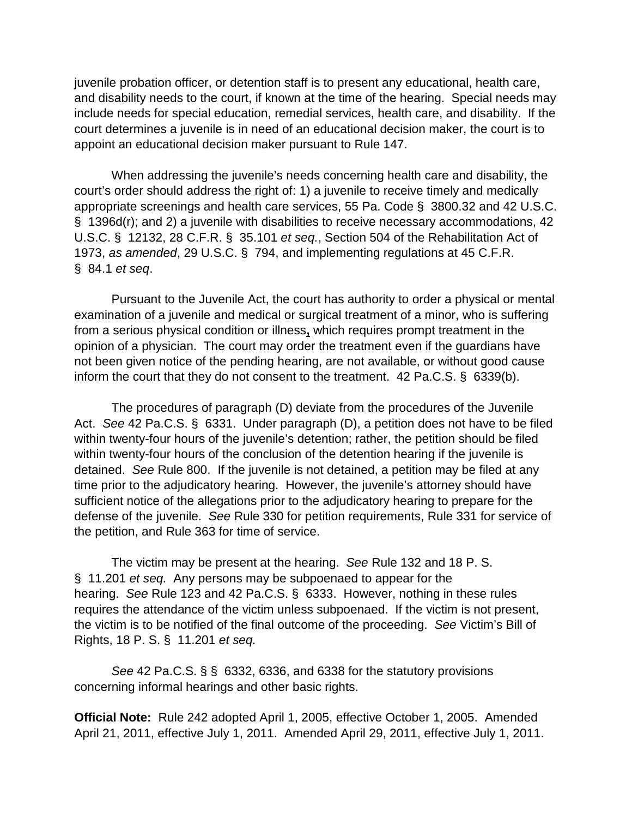juvenile probation officer, or detention staff is to present any educational, health care, and disability needs to the court, if known at the time of the hearing. Special needs may include needs for special education, remedial services, health care, and disability. If the court determines a juvenile is in need of an educational decision maker, the court is to appoint an educational decision maker pursuant to Rule 147.

When addressing the juvenile's needs concerning health care and disability, the court's order should address the right of: 1) a juvenile to receive timely and medically appropriate screenings and health care services, 55 Pa. Code § 3800.32 and 42 U.S.C. § 1396d(r); and 2) a juvenile with disabilities to receive necessary accommodations, 42 U.S.C. § 12132, 28 C.F.R. § 35.101 *et seq.*, Section 504 of the Rehabilitation Act of 1973, *as amended*, 29 U.S.C. § 794, and implementing regulations at 45 C.F.R. § 84.1 *et seq*.

Pursuant to the Juvenile Act, the court has authority to order a physical or mental examination of a juvenile and medical or surgical treatment of a minor, who is suffering from a serious physical condition or illness**,** which requires prompt treatment in the opinion of a physician. The court may order the treatment even if the guardians have not been given notice of the pending hearing, are not available, or without good cause inform the court that they do not consent to the treatment. 42 Pa.C.S. § 6339(b).

The procedures of paragraph (D) deviate from the procedures of the Juvenile Act. *See* 42 Pa.C.S. § 6331. Under paragraph (D), a petition does not have to be filed within twenty-four hours of the juvenile's detention; rather, the petition should be filed within twenty-four hours of the conclusion of the detention hearing if the juvenile is detained. *See* Rule 800. If the juvenile is not detained, a petition may be filed at any time prior to the adjudicatory hearing. However, the juvenile's attorney should have sufficient notice of the allegations prior to the adjudicatory hearing to prepare for the defense of the juvenile. *See* Rule 330 for petition requirements, Rule 331 for service of the petition, and Rule 363 for time of service.

The victim may be present at the hearing. *See* Rule 132 and 18 P. S. § 11.201 *et seq.* Any persons may be subpoenaed to appear for the hearing. *See* Rule 123 and 42 Pa.C.S. § 6333. However, nothing in these rules requires the attendance of the victim unless subpoenaed. If the victim is not present, the victim is to be notified of the final outcome of the proceeding. *See* Victim's Bill of Rights, 18 P. S. § 11.201 *et seq.*

*See* 42 Pa.C.S. § § 6332, 6336, and 6338 for the statutory provisions concerning informal hearings and other basic rights.

**Official Note:** Rule 242 adopted April 1, 2005, effective October 1, 2005. Amended April 21, 2011, effective July 1, 2011. Amended April 29, 2011, effective July 1, 2011.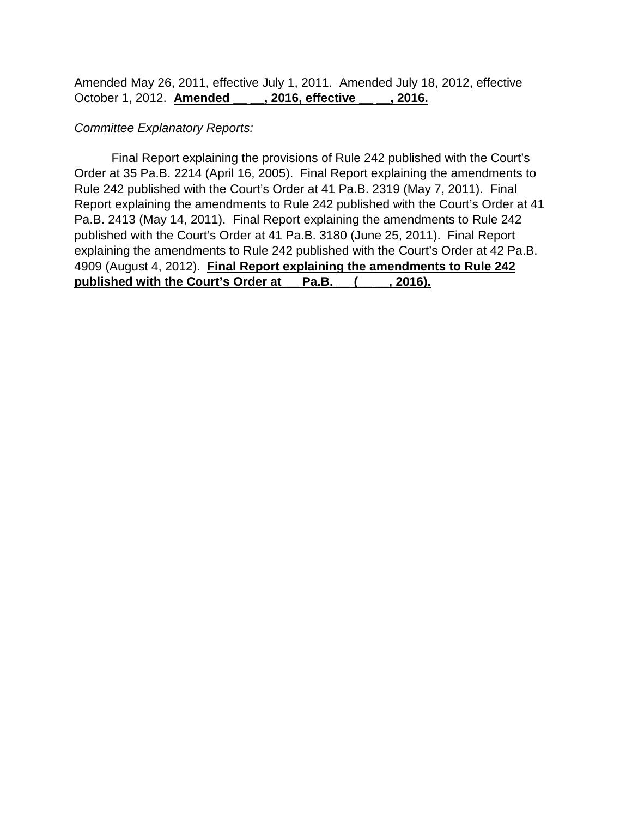Amended May 26, 2011, effective July 1, 2011. Amended July 18, 2012, effective October 1, 2012. **Amended \_\_ \_\_, 2016, effective \_\_ \_\_, 2016.**

#### *Committee Explanatory Reports:*

Final Report explaining the provisions of Rule 242 published with the Court's Order at 35 Pa.B. 2214 (April 16, 2005). Final Report explaining the amendments to Rule 242 published with the Court's Order at 41 Pa.B. 2319 (May 7, 2011). Final Report explaining the amendments to Rule 242 published with the Court's Order at 41 Pa.B. 2413 (May 14, 2011). Final Report explaining the amendments to Rule 242 published with the Court's Order at 41 Pa.B. 3180 (June 25, 2011). Final Report explaining the amendments to Rule 242 published with the Court's Order at 42 Pa.B. 4909 (August 4, 2012). **Final Report explaining the amendments to Rule 242 published with the Court's Order at \_\_ Pa.B. \_\_ (\_\_ \_\_, 2016).**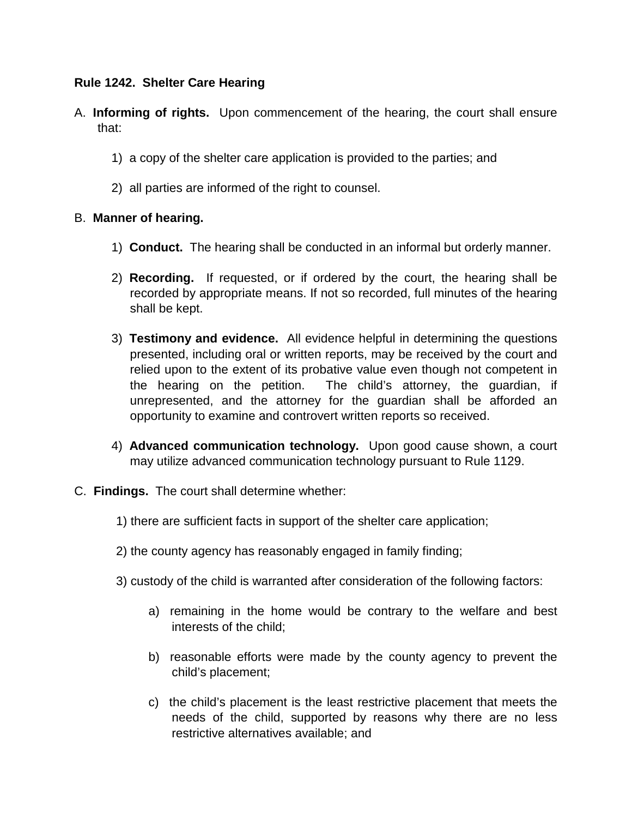### **Rule 1242. Shelter Care Hearing**

- A. **Informing of rights.** Upon commencement of the hearing, the court shall ensure that:
	- 1) a copy of the shelter care application is provided to the parties; and
	- 2) all parties are informed of the right to counsel.

### B. **Manner of hearing.**

- 1) **Conduct.** The hearing shall be conducted in an informal but orderly manner.
- 2) **Recording.** If requested, or if ordered by the court, the hearing shall be recorded by appropriate means. If not so recorded, full minutes of the hearing shall be kept.
- 3) **Testimony and evidence.** All evidence helpful in determining the questions presented, including oral or written reports, may be received by the court and relied upon to the extent of its probative value even though not competent in the hearing on the petition. The child's attorney, the guardian, if unrepresented, and the attorney for the guardian shall be afforded an opportunity to examine and controvert written reports so received.
- 4) **Advanced communication technology.** Upon good cause shown, a court may utilize advanced communication technology pursuant to Rule 1129.
- C. **Findings.** The court shall determine whether:
	- 1) there are sufficient facts in support of the shelter care application;
	- 2) the county agency has reasonably engaged in family finding;
	- 3) custody of the child is warranted after consideration of the following factors:
		- a) remaining in the home would be contrary to the welfare and best interests of the child;
		- b) reasonable efforts were made by the county agency to prevent the child's placement;
		- c) the child's placement is the least restrictive placement that meets the needs of the child, supported by reasons why there are no less restrictive alternatives available; and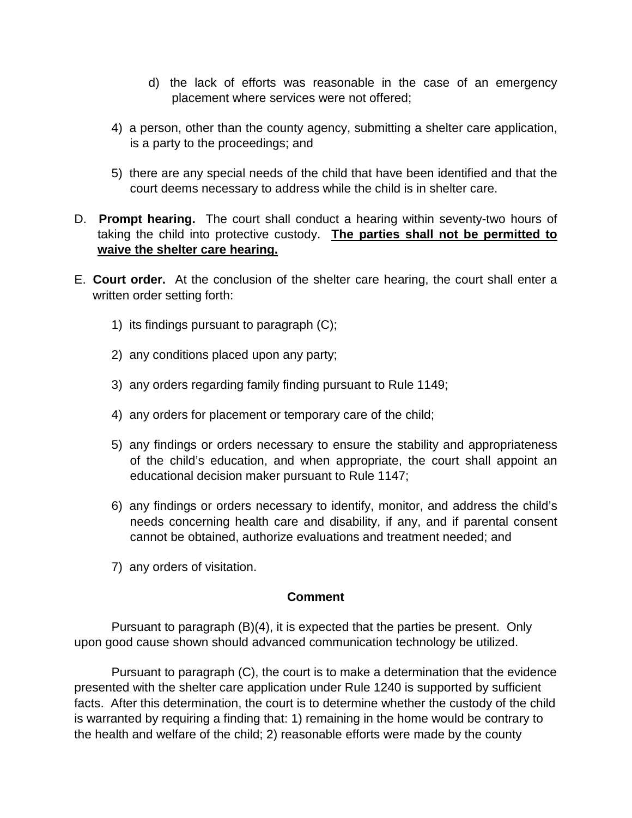- d) the lack of efforts was reasonable in the case of an emergency placement where services were not offered;
- 4) a person, other than the county agency, submitting a shelter care application, is a party to the proceedings; and
- 5) there are any special needs of the child that have been identified and that the court deems necessary to address while the child is in shelter care.
- D. **Prompt hearing.** The court shall conduct a hearing within seventy-two hours of taking the child into protective custody. **The parties shall not be permitted to waive the shelter care hearing.**
- E. **Court order.** At the conclusion of the shelter care hearing, the court shall enter a written order setting forth:
	- 1) its findings pursuant to paragraph (C);
	- 2) any conditions placed upon any party;
	- 3) any orders regarding family finding pursuant to Rule 1149;
	- 4) any orders for placement or temporary care of the child;
	- 5) any findings or orders necessary to ensure the stability and appropriateness of the child's education, and when appropriate, the court shall appoint an educational decision maker pursuant to Rule 1147;
	- 6) any findings or orders necessary to identify, monitor, and address the child's needs concerning health care and disability, if any, and if parental consent cannot be obtained, authorize evaluations and treatment needed; and
	- 7) any orders of visitation.

#### **Comment**

 Pursuant to paragraph (B)(4), it is expected that the parties be present. Only upon good cause shown should advanced communication technology be utilized.

 Pursuant to paragraph (C), the court is to make a determination that the evidence presented with the shelter care application under Rule 1240 is supported by sufficient facts. After this determination, the court is to determine whether the custody of the child is warranted by requiring a finding that: 1) remaining in the home would be contrary to the health and welfare of the child; 2) reasonable efforts were made by the county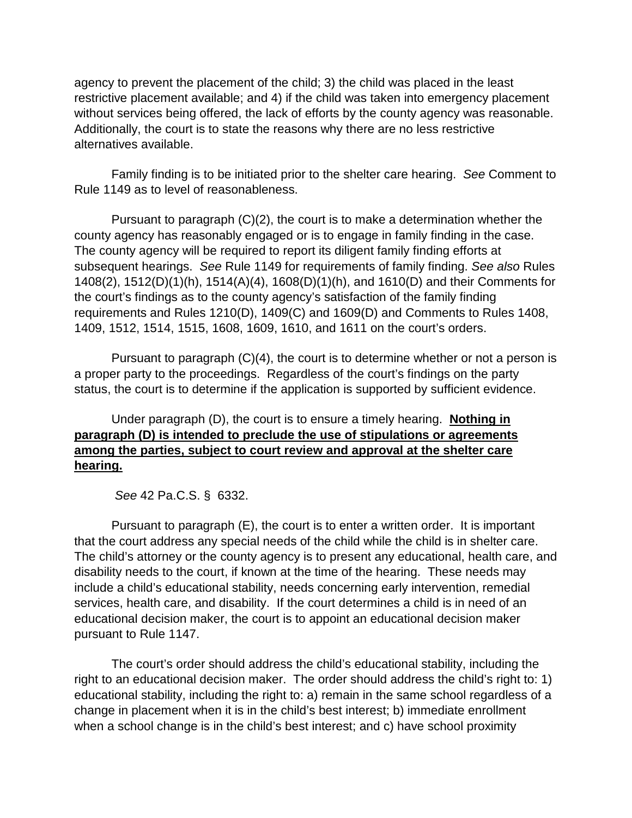agency to prevent the placement of the child; 3) the child was placed in the least restrictive placement available; and 4) if the child was taken into emergency placement without services being offered, the lack of efforts by the county agency was reasonable. Additionally, the court is to state the reasons why there are no less restrictive alternatives available.

 Family finding is to be initiated prior to the shelter care hearing. *See* Comment to Rule 1149 as to level of reasonableness.

 Pursuant to paragraph (C)(2), the court is to make a determination whether the county agency has reasonably engaged or is to engage in family finding in the case. The county agency will be required to report its diligent family finding efforts at subsequent hearings. *See* Rule 1149 for requirements of family finding. *See also* Rules 1408(2), 1512(D)(1)(h), 1514(A)(4), 1608(D)(1)(h), and 1610(D) and their Comments for the court's findings as to the county agency's satisfaction of the family finding requirements and Rules 1210(D), 1409(C) and 1609(D) and Comments to Rules 1408, 1409, 1512, 1514, 1515, 1608, 1609, 1610, and 1611 on the court's orders.

 Pursuant to paragraph (C)(4), the court is to determine whether or not a person is a proper party to the proceedings. Regardless of the court's findings on the party status, the court is to determine if the application is supported by sufficient evidence.

# Under paragraph (D), the court is to ensure a timely hearing. **Nothing in paragraph (D) is intended to preclude the use of stipulations or agreements among the parties, subject to court review and approval at the shelter care hearing.**

*See* 42 Pa.C.S. § 6332.

 Pursuant to paragraph (E), the court is to enter a written order. It is important that the court address any special needs of the child while the child is in shelter care. The child's attorney or the county agency is to present any educational, health care, and disability needs to the court, if known at the time of the hearing. These needs may include a child's educational stability, needs concerning early intervention, remedial services, health care, and disability. If the court determines a child is in need of an educational decision maker, the court is to appoint an educational decision maker pursuant to Rule 1147.

 The court's order should address the child's educational stability, including the right to an educational decision maker. The order should address the child's right to: 1) educational stability, including the right to: a) remain in the same school regardless of a change in placement when it is in the child's best interest; b) immediate enrollment when a school change is in the child's best interest; and c) have school proximity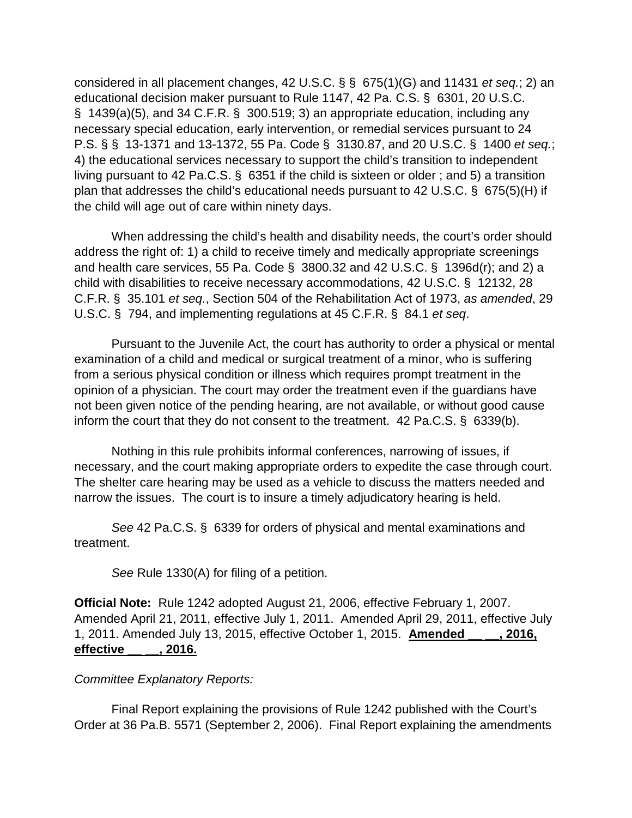considered in all placement changes, 42 U.S.C. § § 675(1)(G) and 11431 *et seq.*; 2) an educational decision maker pursuant to Rule 1147, 42 Pa. C.S. § 6301, 20 U.S.C. § 1439(a)(5), and 34 C.F.R. § 300.519; 3) an appropriate education, including any necessary special education, early intervention, or remedial services pursuant to 24 P.S. § § 13-1371 and 13-1372, 55 Pa. Code § 3130.87, and 20 U.S.C. § 1400 *et seq.*; 4) the educational services necessary to support the child's transition to independent living pursuant to 42 Pa.C.S. § 6351 if the child is sixteen or older ; and 5) a transition plan that addresses the child's educational needs pursuant to 42 U.S.C. § 675(5)(H) if the child will age out of care within ninety days.

 When addressing the child's health and disability needs, the court's order should address the right of: 1) a child to receive timely and medically appropriate screenings and health care services, 55 Pa. Code § 3800.32 and 42 U.S.C. § 1396d(r); and 2) a child with disabilities to receive necessary accommodations, 42 U.S.C. § 12132, 28 C.F.R. § 35.101 *et seq.*, Section 504 of the Rehabilitation Act of 1973, *as amended*, 29 U.S.C. § 794, and implementing regulations at 45 C.F.R. § 84.1 *et seq*.

 Pursuant to the Juvenile Act, the court has authority to order a physical or mental examination of a child and medical or surgical treatment of a minor, who is suffering from a serious physical condition or illness which requires prompt treatment in the opinion of a physician. The court may order the treatment even if the guardians have not been given notice of the pending hearing, are not available, or without good cause inform the court that they do not consent to the treatment. 42 Pa.C.S. § 6339(b).

 Nothing in this rule prohibits informal conferences, narrowing of issues, if necessary, and the court making appropriate orders to expedite the case through court. The shelter care hearing may be used as a vehicle to discuss the matters needed and narrow the issues. The court is to insure a timely adjudicatory hearing is held.

 *See* 42 Pa.C.S. § 6339 for orders of physical and mental examinations and treatment.

*See* Rule 1330(A) for filing of a petition.

**Official Note:** Rule 1242 adopted August 21, 2006, effective February 1, 2007. Amended April 21, 2011, effective July 1, 2011. Amended April 29, 2011, effective July 1, 2011. Amended July 13, 2015, effective October 1, 2015. **Amended \_\_ \_\_, 2016, effective \_\_ \_\_, 2016.**

#### *Committee Explanatory Reports:*

 Final Report explaining the provisions of Rule 1242 published with the Court's Order at 36 Pa.B. 5571 (September 2, 2006). Final Report explaining the amendments